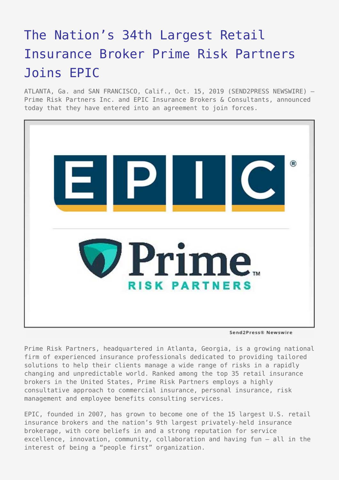## [The Nation's 34th Largest Retail](https://www.send2press.com/wire/the-nations-34th-largest-retail-insurance-broker-prime-risk-partners-joins-epic/) [Insurance Broker Prime Risk Partners](https://www.send2press.com/wire/the-nations-34th-largest-retail-insurance-broker-prime-risk-partners-joins-epic/) [Joins EPIC](https://www.send2press.com/wire/the-nations-34th-largest-retail-insurance-broker-prime-risk-partners-joins-epic/)

ATLANTA, Ga. and SAN FRANCISCO, Calif., Oct. 15, 2019 (SEND2PRESS NEWSWIRE) — Prime Risk Partners Inc. and EPIC Insurance Brokers & Consultants, announced today that they have entered into an agreement to join forces.



Send2Press® Newswire

Prime Risk Partners, headquartered in Atlanta, Georgia, is a growing national firm of experienced insurance professionals dedicated to providing tailored solutions to help their clients manage a wide range of risks in a rapidly changing and unpredictable world. Ranked among the top 35 retail insurance brokers in the United States, Prime Risk Partners employs a highly consultative approach to commercial insurance, personal insurance, risk management and employee benefits consulting services.

EPIC, founded in 2007, has grown to become one of the 15 largest U.S. retail insurance brokers and the nation's 9th largest privately-held insurance brokerage, with core beliefs in and a strong reputation for service excellence, innovation, community, collaboration and having fun – all in the interest of being a "people first" organization.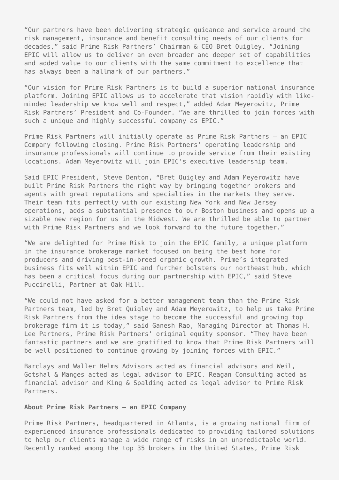"Our partners have been delivering strategic guidance and service around the risk management, insurance and benefit consulting needs of our clients for decades," said Prime Risk Partners' Chairman & CEO Bret Quigley. "Joining EPIC will allow us to deliver an even broader and deeper set of capabilities and added value to our clients with the same commitment to excellence that has always been a hallmark of our partners."

"Our vision for Prime Risk Partners is to build a superior national insurance platform. Joining EPIC allows us to accelerate that vision rapidly with likeminded leadership we know well and respect," added Adam Meyerowitz, Prime Risk Partners' President and Co-Founder. "We are thrilled to join forces with such a unique and highly successful company as EPIC."

Prime Risk Partners will initially operate as Prime Risk Partners – an EPIC Company following closing. Prime Risk Partners' operating leadership and insurance professionals will continue to provide service from their existing locations. Adam Meyerowitz will join EPIC's executive leadership team.

Said EPIC President, Steve Denton, "Bret Quigley and Adam Meyerowitz have built Prime Risk Partners the right way by bringing together brokers and agents with great reputations and specialties in the markets they serve. Their team fits perfectly with our existing New York and New Jersey operations, adds a substantial presence to our Boston business and opens up a sizable new region for us in the Midwest. We are thrilled be able to partner with Prime Risk Partners and we look forward to the future together."

"We are delighted for Prime Risk to join the EPIC family, a unique platform in the insurance brokerage market focused on being the best home for producers and driving best-in-breed organic growth. Prime's integrated business fits well within EPIC and further bolsters our northeast hub, which has been a critical focus during our partnership with EPIC," said Steve Puccinelli, Partner at Oak Hill.

"We could not have asked for a better management team than the Prime Risk Partners team, led by Bret Quigley and Adam Meyerowitz, to help us take Prime Risk Partners from the idea stage to become the successful and growing top brokerage firm it is today," said Ganesh Rao, Managing Director at Thomas H. Lee Partners, Prime Risk Partners' original equity sponsor, "They have been fantastic partners and we are gratified to know that Prime Risk Partners will be well positioned to continue growing by joining forces with EPIC."

Barclays and Waller Helms Advisors acted as financial advisors and Weil, Gotshal & Manges acted as legal advisor to EPIC. Reagan Consulting acted as financial advisor and King & Spalding acted as legal advisor to Prime Risk Partners.

## **About Prime Risk Partners – an EPIC Company**

Prime Risk Partners, headquartered in Atlanta, is a growing national firm of experienced insurance professionals dedicated to providing tailored solutions to help our clients manage a wide range of risks in an unpredictable world. Recently ranked among the top 35 brokers in the United States, Prime Risk